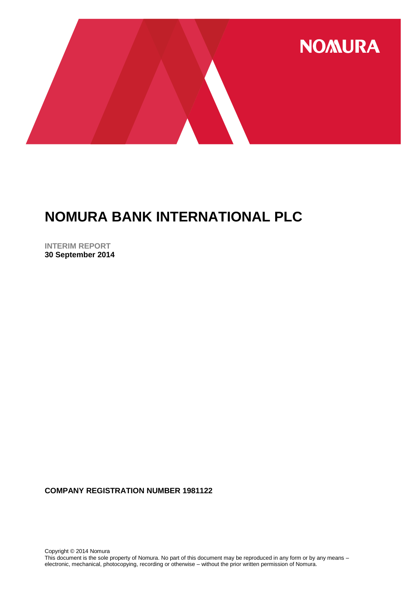

**INTERIM REPORT 30 September 2014**

**COMPANY REGISTRATION NUMBER 1981122**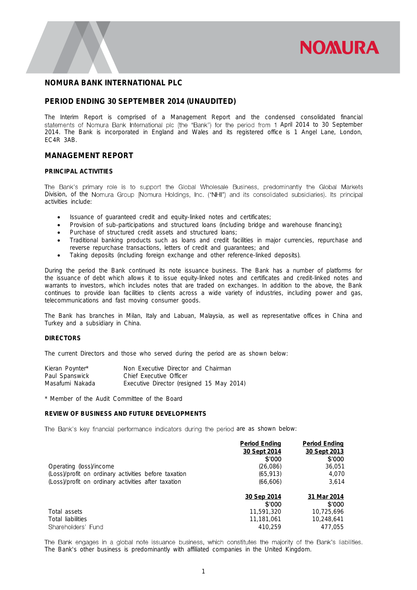

#### **PERIOD ENDING 30 SEPTEMBER 2014 (UNAUDITED)**

The Interim Report is comprised of a Management Report and the condensed consolidated financial statements of Nomura Bank International plc (the "Bank") for the period from 1 April 2014 to 30 September 2014. The Bank is incorporated in England and Wales and its registered office is 1 Angel Lane, London, EC4R 3AB.

#### **MANAGEMENT REPORT**

#### **PRINCIPAL ACTIVITIES**

The Bank's primary role is to support the Global Wholesale Business, predominantly the Global Markets Division, of the Nomura Group (Nomura Holdings, Inc. ("NHI") and its consolidated subsidiaries). Its principal activities include:

- Issuance of guaranteed credit and equity-linked notes and certificates;
- Provision of sub-participations and structured loans (including bridge and warehouse financing);
- Purchase of structured credit assets and structured loans;
- Traditional banking products such as loans and credit facilities in major currencies, repurchase and reverse repurchase transactions, letters of credit and guarantees; and
- Taking deposits (including foreign exchange and other reference-linked deposits).

During the period the Bank continued its note issuance business. The Bank has a number of platforms for the issuance of debt which allows it to issue equity-linked notes and certificates and credit-linked notes and warrants to investors, which includes notes that are traded on exchanges. In addition to the above, the Bank continues to provide loan facilities to clients across a wide variety of industries, including power and gas, telecommunications and fast moving consumer goods.

The Bank has branches in Milan, Italy and Labuan, Malaysia, as well as representative offices in China and Turkey and a subsidiary in China.

#### **DIRECTORS**

The current Directors and those who served during the period are as shown below:

| Kieran Poynter* | Non Executive Director and Chairman       |
|-----------------|-------------------------------------------|
| Paul Spanswick  | Chief Executive Officer                   |
| Masafumi Nakada | Executive Director (resigned 15 May 2014) |

\* Member of the Audit Committee of the Board

**REVIEW OF BUSINESS AND FUTURE DEVELOPMENTS**

The Bank's key financial performance indicators during the period are as shown below:

| Period Ending | Period Ending |
|---------------|---------------|
| 30 Sept 2014  | 30 Sept 2013  |
| \$'000        | \$'000        |
| (26,086)      | 36,051        |
| (65, 913)     | 4.070         |
| (66,606)      | 3,614         |
|               | 31 Mar 2014   |
| \$'000        | \$'000        |
| 11,591,320    | 10.725.696    |
| 11,181,061    | 10.248.641    |
| 410.259       | 477.055       |
|               | 30 Sep 2014   |

The Bank engages in a global note issuance business, which constitutes the majority of the Bank's liabilities. The Bank's other business is predominantly with affiliated companies in the United Kingdom.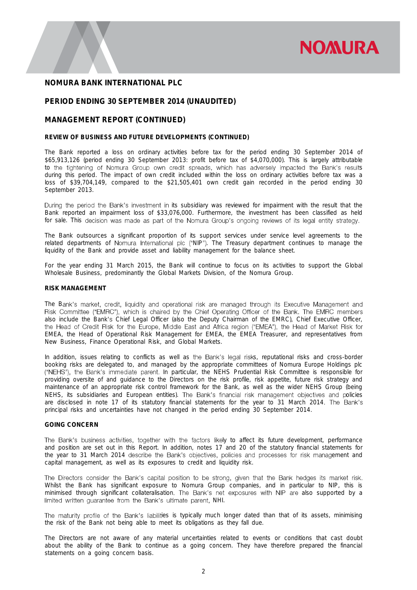

### **PERIOD ENDING 30 SEPTEMBER 2014 (UNAUDITED)**

#### **MANAGEMENT REPORT (CONTINUED)**

#### **REVIEW OF BUSINESS AND FUTURE DEVELOPMENTS (CONTINUED)**

The Bank reported a loss on ordinary activities before tax for the period ending 30 September 2014 of \$65,913,126 (period ending 30 September 2013: profit before tax of \$4,070,000). This is largely attributable to the tightening of Nomura Group own credit spreads, which has adversely impacted the Bank's results during this period. The impact of own credit included within the loss on ordinary activities before tax was a loss of \$39,704,149, compared to the \$21,505,401 own credit gain recorded in the period ending 30 September 2013.

During the period the Bank's investment in its subsidiary was reviewed for impairment with the result that the Bank reported an impairment loss of \$33,076,000. Furthermore, the investment has been classified as held for sale. This decision was made as part of the Nomura Group's ongoing reviews of its legal entity strategy.

The Bank outsources a significant proportion of its support services under service level agreements to the related departments of Nomura International plc ("NIP"). The Treasury department continues to manage the liquidity of the Bank and provide asset and liability management for the balance sheet.

For the year ending 31 March 2015, the Bank will continue to focus on its activities to support the Global Wholesale Business, predominantly the Global Markets Division, of the Nomura Group.

#### **RISK MANAGEMENT**

The Bank's market, credit, liquidity and operational risk are managed through its Executive Management and<br>Risk Committee ("EMRC"), which is chaired by the Chief Operating Officer of the Bank. The EMRC members also include the Bank's Chief Legal Officer (also the Deputy Chairman of the EMRC), Chief Executive Officer,<br>the Head of Credit Risk for the Europe, Middle East and Africa region ("EMEA"), the Head of Market Risk for EMEA, the Head of Operational Risk Management for EMEA, the EMEA Treasurer, and representatives from New Business, Finance Operational Risk, and Global Markets.

In addition, issues relating to conflicts as well as the Bank's legal risks, reputational risks and cross-border booking risks are delegated to, and managed by the appropriate committees of Nomura Europe Holdings plc ("NEHS"), the Bank's immediate parent. In particular, the NEHS Prudential Risk Committee is responsible for providing oversite of and guidance to the Directors on the risk profile, risk appetite, future risk strategy and maintenance of an appropriate risk control framework for the Bank, as well as the wider NEHS Group (being NEHS, its subsidiaries and European entities). The Bank's financial risk management objectives and policies are disclosed in note 17 of its statutory financial statements for the year to 31 March 2014. The Bank's principal risks and uncertainties have not changed in the period ending 30 September 2014.

#### **GOING CONCERN**

The Bank's business activities, together with the factors likely to affect its future development, performance and position are set out in this Report. In addition, notes 17 and 20 of the statutory financial statements for the year to 31 March 2014 describe the Bank's objectives, policies and processes for risk management and capital management, as well as its exposures to credit and liquidity risk.

The Directors consider the Bank's capital position to be strong, given that the Bank hedges its market risk. Whilst the Bank has significant exposure to Nomura Group companies, and in particular to NIP, this is minimised through significant collateralisation. The Bank's net exposures with NIP are also supported by a limited written guarantee from the Bank's ultimate parent, NHI.

The maturity profile of the Bank's liabilities is typically much longer dated than that of its assets, minimising the risk of the Bank not being able to meet its obligations as they fall due.

The Directors are not aware of any material uncertainties related to events or conditions that cast doubt about the ability of the Bank to continue as a going concern. They have therefore prepared the financial statements on a going concern basis.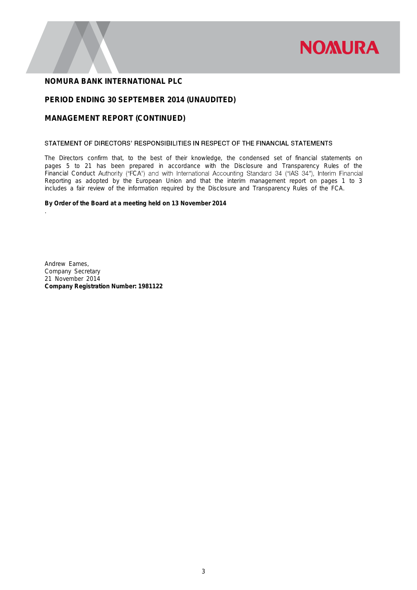

### **PERIOD ENDING 30 SEPTEMBER 2014 (UNAUDITED)**

### **MANAGEMENT REPORT (CONTINUED)**

#### STATEMENT OF DIRECTORS' RESPONSIBILITIES IN RESPECT OF THE FINANCIAL STATEMENTS

The Directors confirm that, to the best of their knowledge, the condensed set of financial statements on pages 5 to 21 has been prepared in accordance with the Disclosure and Transparency Rules of the Financial Conduct Authority ("FCA") and with International Accounting Standard 34 ("IAS 34"), Interim Financial Reporting as adopted by the European Union and that the interim management report on pages 1 to 3 includes a fair review of the information required by the Disclosure and Transparency Rules of the FCA.

**By Order of the Board at a meeting held on 13 November 2014**

Andrew Eames, Company Secretary 21 November 2014 **Company Registration Number: 1981122**

.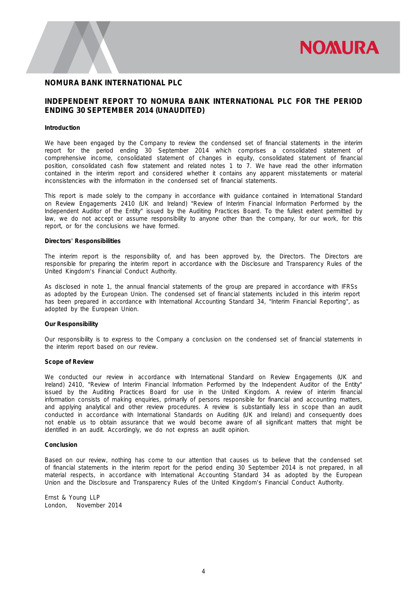

### **INDEPENDENT REPORT TO NOMURA BANK INTERNATIONAL PLC FOR THE PERIOD ENDING 30 SEPTEMBER 2014 (UNAUDITED)**

#### **Introduction**

We have been engaged by the Company to review the condensed set of financial statements in the interim report for the period ending 30 September 2014 which comprises a consolidated statement of comprehensive income, consolidated statement of changes in equity, consolidated statement of financial position, consolidated cash flow statement and related notes 1 to 7. We have read the other information contained in the interim report and considered whether it contains any apparent misstatements or material inconsistencies with the information in the condensed set of financial statements.

This report is made solely to the company in accordance with guidance contained in International Standard on Review Engagements 2410 (UK and Ireland) "Review of Interim Financial Information Performed by the Independent Auditor of the Entity" issued by the Auditing Practices Board. To the fullest extent permitted by law, we do not accept or assume responsibility to anyone other than the company, for our work, for this report, or for the conclusions we have formed.

#### **Directors' Responsibilities**

The interim report is the responsibility of, and has been approved by, the Directors. The Directors are responsible for preparing the interim report in accordance with the Disclosure and Transparency Rules of the United Kingdom's Financial Conduct Authority.

As disclosed in note 1, the annual financial statements of the group are prepared in accordance with IFRSs as adopted by the European Union. The condensed set of financial statements included in this interim report has been prepared in accordance with International Accounting Standard 34, "Interim Financial Reporting", as adopted by the European Union.

#### **Our Responsibility**

Our responsibility is to express to the Company a conclusion on the condensed set of financial statements in the interim report based on our review.

#### **Scope of Review**

We conducted our review in accordance with International Standard on Review Engagements (UK and Ireland) 2410, "Review of Interim Financial Information Performed by the Independent Auditor of the Entity" issued by the Auditing Practices Board for use in the United Kingdom. A review of interim financial information consists of making enquiries, primarily of persons responsible for financial and accounting matters, and applying analytical and other review procedures. A review is substantially less in scope than an audit conducted in accordance with International Standards on Auditing (UK and Ireland) and consequently does not enable us to obtain assurance that we would become aware of all significant matters that might be identified in an audit. Accordingly, we do not express an audit opinion.

#### **Conclusion**

Based on our review, nothing has come to our attention that causes us to believe that the condensed set of financial statements in the interim report for the period ending 30 September 2014 is not prepared, in all material respects, in accordance with International Accounting Standard 34 as adopted by the European Union and the Disclosure and Transparency Rules of the United Kingdom's Financial Conduct Authority.

Ernst & Young LLP London, November 2014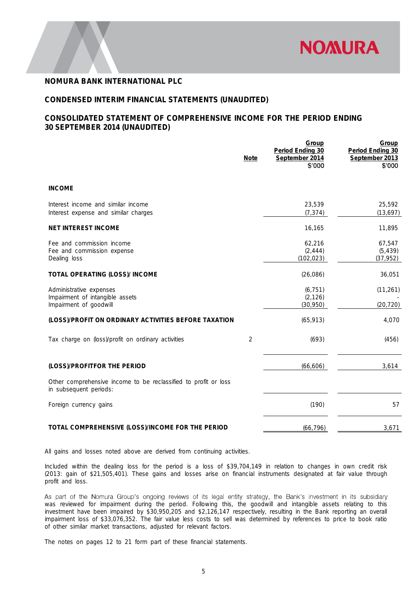

### **CONDENSED INTERIM FINANCIAL STATEMENTS (UNAUDITED)**

### **CONSOLIDATED STATEMENT OF COMPREHENSIVE INCOME FOR THE PERIOD ENDING 30 SEPTEMBER 2014 (UNAUDITED)**

|                                                                                           | Note | Group<br>Period Ending 30<br>September 2014<br>\$'000 | Group<br>Period Ending 30<br>September 2013<br>\$'000 |
|-------------------------------------------------------------------------------------------|------|-------------------------------------------------------|-------------------------------------------------------|
| <b>INCOME</b>                                                                             |      |                                                       |                                                       |
| Interest income and similar income<br>Interest expense and similar charges                |      | 23,539<br>(7, 374)                                    | 25,592<br>(13,697)                                    |
| NET INTEREST INCOME                                                                       |      | 16,165                                                | 11,895                                                |
| Fee and commission income<br>Fee and commission expense<br>Dealing loss                   |      | 62,216<br>(2, 444)<br>(102, 023)                      | 67,547<br>(5, 439)<br>(37, 952)                       |
| TOTAL OPERATING (LOSS)/ INCOME                                                            |      | (26,086)                                              | 36,051                                                |
| Administrative expenses<br>Impairment of intangible assets<br>Impairment of goodwill      |      | (6, 751)<br>(2, 126)<br>(30, 950)                     | (11, 261)<br>(20, 720)                                |
| (LOSS)/PROFIT ON ORDINARY ACTIVITIES BEFORE TAXATION                                      |      | (65, 913)                                             | 4,070                                                 |
| Tax charge on (loss)/profit on ordinary activities                                        | 2    | (693)                                                 | (456)                                                 |
| (LOSS)/PROFITFOR THE PERIOD                                                               |      | (66, 606)                                             | 3,614                                                 |
| Other comprehensive income to be reclassified to profit or loss<br>in subsequent periods: |      |                                                       |                                                       |
| Foreign currency gains                                                                    |      | (190)                                                 | 57                                                    |
| TOTAL COMPREHENSIVE (LOSS)/INCOME FOR THE PERIOD                                          |      | (66, 796)                                             | 3,671                                                 |

All gains and losses noted above are derived from continuing activities.

Included within the dealing loss for the period is a loss of \$39,704,149 in relation to changes in own credit risk (2013: gain of \$21,505,401). These gains and losses arise on financial instruments designated at fair value through profit and loss.

As part of the Nomura Group's ongoing reviews of its legal entity strategy, the Bank's investment in its subsidiary was reviewed for impairment during the period. Following this, the goodwill and intangible assets relating to this investment have been impaired by \$30,950,205 and \$2,126,147 respectively, resulting in the Bank reporting an overall impairment loss of \$33,076,352. The fair value less costs to sell was determined by references to price to book ratio of other similar market transactions, adjusted for relevant factors.

The notes on pages 12 to 21 form part of these financial statements.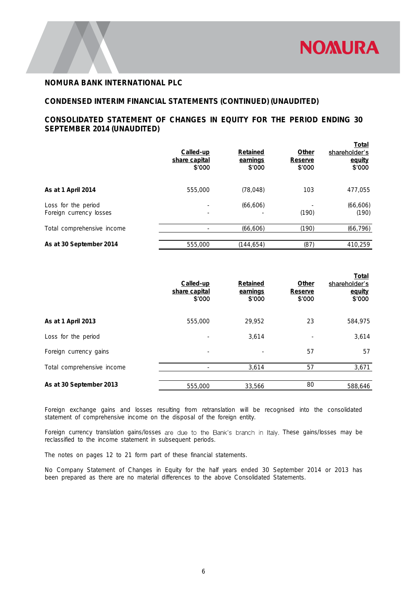

### **CONDENSED INTERIM FINANCIAL STATEMENTS (CONTINUED) (UNAUDITED)**

### **CONSOLIDATED STATEMENT OF CHANGES IN EQUITY FOR THE PERIOD ENDING 30 SEPTEMBER 2014 (UNAUDITED)**

|                                                | Called-up<br>share capital<br>\$'000 | Retained<br>earnings<br>\$'000 | Other<br>Reserve<br>\$'000 | <b>Total</b><br>shareholder's<br>equity<br>\$'000 |
|------------------------------------------------|--------------------------------------|--------------------------------|----------------------------|---------------------------------------------------|
| As at 1 April 2014                             | 555,000                              | (78, 048)                      | 103                        | 477,055                                           |
| Loss for the period<br>Foreign currency losses |                                      | (66, 606)                      | (190)                      | (66, 606)<br>(190)                                |
| Total comprehensive income                     | $\overline{\phantom{a}}$             | (66, 606)                      | (190)                      | (66, 796)                                         |
| As at 30 September 2014                        | 555,000                              | 144,654)                       | (87)                       | 410,259                                           |

|                            | Called-up<br>share capital<br>\$'000 | Retained<br>earnings<br>\$'000 | Other<br>Reserve<br>\$'000 | <b>Total</b><br>shareholder's<br>equity<br>\$'000 |
|----------------------------|--------------------------------------|--------------------------------|----------------------------|---------------------------------------------------|
| As at 1 April 2013         | 555,000                              | 29.952                         | 23                         | 584,975                                           |
| Loss for the period        |                                      | 3,614                          |                            | 3,614                                             |
| Foreign currency gains     | ٠                                    |                                | 57                         | 57                                                |
| Total comprehensive income | ۰                                    | 3,614                          | 57                         | 3,671                                             |
| As at 30 September 2013    | 555,000                              | 33,566                         | 80                         | 588,646                                           |

Foreign exchange gains and losses resulting from retranslation will be recognised into the consolidated statement of comprehensive income on the disposal of the foreign entity.

Foreign currency translation gains/losses are due to the Bank's branch in Italy. These gains/losses may be reclassified to the income statement in subsequent periods.

The notes on pages 12 to 21 form part of these financial statements.

No Company Statement of Changes in Equity for the half years ended 30 September 2014 or 2013 has been prepared as there are no material differences to the above Consolidated Statements.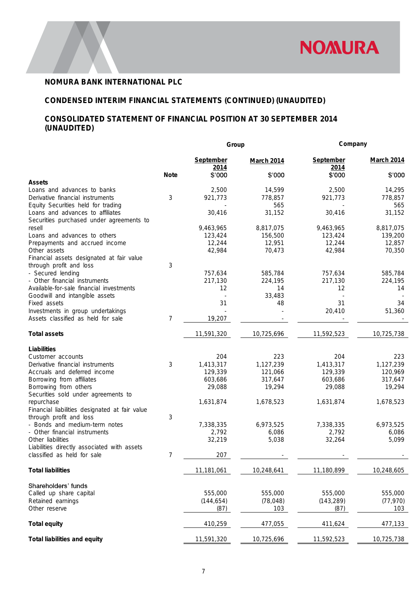

# **CONDENSED INTERIM FINANCIAL STATEMENTS (CONTINUED) (UNAUDITED)**

### **CONSOLIDATED STATEMENT OF FINANCIAL POSITION AT 30 SEPTEMBER 2014 (UNAUDITED)**

|                                                                                                                                                                                                                                                                                                                                                                                                                                                                   |                                   | Group                                                                                                |                                                                                              | Company                                                                                       |                                                                                              |
|-------------------------------------------------------------------------------------------------------------------------------------------------------------------------------------------------------------------------------------------------------------------------------------------------------------------------------------------------------------------------------------------------------------------------------------------------------------------|-----------------------------------|------------------------------------------------------------------------------------------------------|----------------------------------------------------------------------------------------------|-----------------------------------------------------------------------------------------------|----------------------------------------------------------------------------------------------|
|                                                                                                                                                                                                                                                                                                                                                                                                                                                                   |                                   | <b>September</b><br>2014                                                                             | <b>March 2014</b><br>\$'000                                                                  | <b>September</b><br>2014                                                                      | <b>March 2014</b><br>\$'000                                                                  |
| Assets                                                                                                                                                                                                                                                                                                                                                                                                                                                            | Note                              | \$'000                                                                                               |                                                                                              | \$'000                                                                                        |                                                                                              |
| Loans and advances to banks<br>Derivative financial instruments<br>Equity Securities held for trading<br>Loans and advances to affiliates                                                                                                                                                                                                                                                                                                                         | $\mathfrak{Z}$                    | 2,500<br>921,773<br>30,416                                                                           | 14,599<br>778,857<br>565<br>31,152                                                           | 2,500<br>921,773<br>30,416                                                                    | 14,295<br>778,857<br>565<br>31,152                                                           |
| Securities purchased under agreements to<br>resell<br>Loans and advances to others<br>Prepayments and accrued income<br>Other assets<br>Financial assets designated at fair value                                                                                                                                                                                                                                                                                 |                                   | 9,463,965<br>123,424<br>12,244<br>42,984                                                             | 8,817,075<br>156,500<br>12,951<br>70,473                                                     | 9,463,965<br>123,424<br>12,244<br>42,984                                                      | 8,817,075<br>139,200<br>12,857<br>70,350                                                     |
| through profit and loss<br>- Secured lending<br>- Other financial instruments<br>Available-for-sale financial investments<br>Goodwill and intangible assets<br>Fixed assets<br>Investments in group undertakings<br>Assets classified as held for sale                                                                                                                                                                                                            | 3<br>$\overline{7}$               | 757,634<br>217,130<br>12<br>÷,<br>31<br>i.<br>19,207                                                 | 585,784<br>224,195<br>14<br>33,483<br>48                                                     | 757,634<br>217,130<br>12<br>31<br>20,410                                                      | 585,784<br>224,195<br>14<br>34<br>51,360                                                     |
| Total assets                                                                                                                                                                                                                                                                                                                                                                                                                                                      |                                   | 11,591,320                                                                                           | 10,725,696                                                                                   | 11,592,523                                                                                    | 10,725,738                                                                                   |
| Liabilities<br>Customer accounts<br>Derivative financial instruments<br>Accruals and deferred income<br>Borrowing from affiliates<br>Borrowing from others<br>Securities sold under agreements to<br>repurchase<br>Financial liabilities designated at fair value<br>through profit and loss<br>- Bonds and medium-term notes<br>- Other financial instruments<br>Other liabilities<br>Liabilities directly associated with assets<br>classified as held for sale | $\mathfrak{Z}$<br>$\sqrt{3}$<br>7 | 204<br>1,413,317<br>129,339<br>603,686<br>29,088<br>1,631,874<br>7,338,335<br>2,792<br>32,219<br>207 | 223<br>1,127,239<br>121,066<br>317,647<br>19,294<br>1,678,523<br>6,973,525<br>6,086<br>5,038 | 204<br>1,413,317<br>129,339<br>603,686<br>29,088<br>1,631,874<br>7,338,335<br>2,792<br>32,264 | 223<br>1,127,239<br>120,969<br>317,647<br>19,294<br>1,678,523<br>6,973,525<br>6,086<br>5,099 |
| <b>Total liabilities</b>                                                                                                                                                                                                                                                                                                                                                                                                                                          |                                   | 11,181,061                                                                                           | 10,248,641                                                                                   | 11,180,899                                                                                    | 10,248,605                                                                                   |
| Shareholders' funds<br>Called up share capital<br>Retained earnings<br>Other reserve                                                                                                                                                                                                                                                                                                                                                                              |                                   | 555,000<br>(144, 654)<br>(87)                                                                        | 555,000<br>(78, 048)<br>103                                                                  | 555,000<br>(143, 289)<br>(87)                                                                 | 555,000<br>(77, 970)<br>103                                                                  |
| Total equity                                                                                                                                                                                                                                                                                                                                                                                                                                                      |                                   | 410,259                                                                                              | 477,055                                                                                      | 411,624                                                                                       | 477,133                                                                                      |
| Total liabilities and equity                                                                                                                                                                                                                                                                                                                                                                                                                                      |                                   | 11,591,320                                                                                           | 10,725,696                                                                                   | 11,592,523                                                                                    | 10,725,738                                                                                   |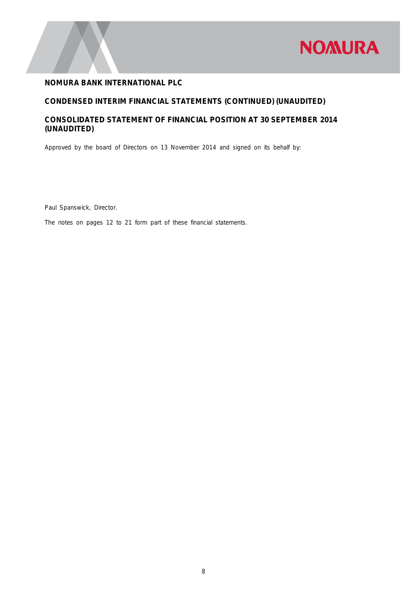

### **CONDENSED INTERIM FINANCIAL STATEMENTS (CONTINUED) (UNAUDITED)**

### **CONSOLIDATED STATEMENT OF FINANCIAL POSITION AT 30 SEPTEMBER 2014 (UNAUDITED)**

Approved by the board of Directors on 13 November 2014 and signed on its behalf by:

Paul Spanswick, Director.

The notes on pages 12 to 21 form part of these financial statements.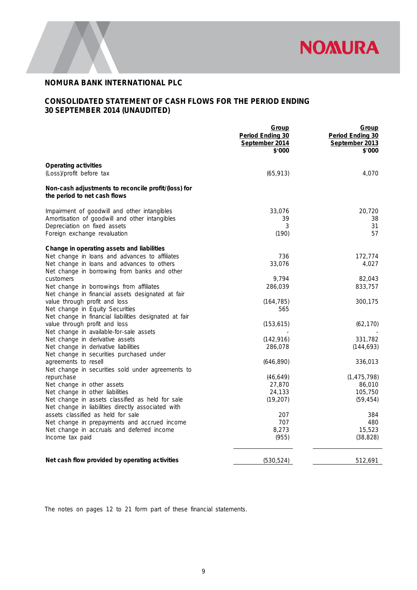

### **CONSOLIDATED STATEMENT OF CASH FLOWS FOR THE PERIOD ENDING 30 SEPTEMBER 2014 (UNAUDITED)**

|                                                                                                                                                                                            | Group<br>Period Ending 30<br>September 2014<br>\$'000 | Group<br>Period Ending 30<br>September 2013<br>\$'000 |
|--------------------------------------------------------------------------------------------------------------------------------------------------------------------------------------------|-------------------------------------------------------|-------------------------------------------------------|
| Operating activities<br>(Loss)/profit before tax                                                                                                                                           | (65, 913)                                             | 4,070                                                 |
| Non-cash adjustments to reconcile profit/(loss) for<br>the period to net cash flows                                                                                                        |                                                       |                                                       |
| Impairment of goodwill and other intangibles<br>Amortisation of goodwill and other intangibles<br>Depreciation on fixed assets<br>Foreign exchange revaluation                             | 33,076<br>39<br>3<br>(190)                            | 20,720<br>38<br>31<br>57                              |
| Change in operating assets and liabilities<br>Net change in loans and advances to affiliates<br>Net change in loans and advances to others<br>Net change in borrowing from banks and other | 736<br>33,076                                         | 172,774<br>4,027                                      |
| customers<br>Net change in borrowings from affiliates<br>Net change in financial assets designated at fair                                                                                 | 9.794<br>286,039                                      | 82,043<br>833,757                                     |
| value through profit and loss<br>Net change in Equity Securities<br>Net change in financial liabilities designated at fair                                                                 | (164, 785)<br>565                                     | 300,175                                               |
| value through profit and loss<br>Net change in available-for-sale assets                                                                                                                   | (153, 615)                                            | (62, 170)                                             |
| Net change in derivative assets<br>Net change in derivative liabilities<br>Net change in securities purchased under                                                                        | (142, 916)<br>286,078                                 | 331,782<br>(144, 693)                                 |
| agreements to resell<br>Net change in securities sold under agreements to                                                                                                                  | (646, 890)                                            | 336,013                                               |
| repurchase<br>Net change in other assets<br>Net change in other liabilities<br>Net change in assets classified as held for sale<br>Net change in liabilities directly associated with      | (46, 649)<br>27,870<br>24,133<br>(19, 207)            | (1, 475, 798)<br>86,010<br>105,750<br>(59, 454)       |
| assets classified as held for sale<br>Net change in prepayments and accrued income<br>Net change in accruals and deferred income<br>Income tax paid                                        | 207<br>707<br>8,273<br>(955)                          | 384<br>480<br>15,523<br>(38, 828)                     |
| Net cash flow provided by operating activities                                                                                                                                             | (530, 524)                                            | 512,691                                               |

The notes on pages 12 to 21 form part of these financial statements.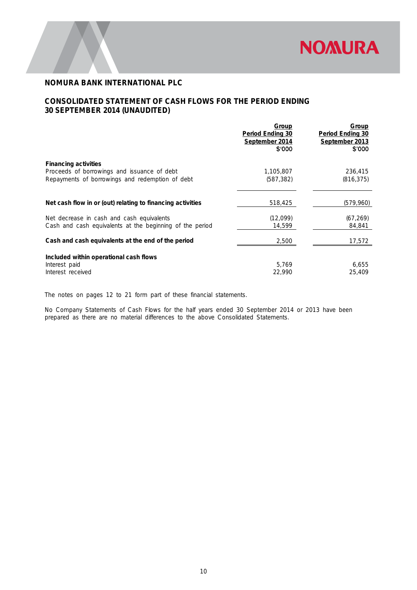

### **CONSOLIDATED STATEMENT OF CASH FLOWS FOR THE PERIOD ENDING 30 SEPTEMBER 2014 (UNAUDITED)**

|                                                                                                                        | Group<br>Period Ending 30<br>September 2014<br>\$'000 | Group<br>Period Ending 30<br>September 2013<br>\$'000 |
|------------------------------------------------------------------------------------------------------------------------|-------------------------------------------------------|-------------------------------------------------------|
| Financing activities<br>Proceeds of borrowings and issuance of debt<br>Repayments of borrowings and redemption of debt | 1,105,807<br>(587, 382)                               | 236,415<br>(816, 375)                                 |
| Net cash flow in or (out) relating to financing activities                                                             | 518,425                                               | (579,960)                                             |
| Net decrease in cash and cash equivalents<br>Cash and cash equivalents at the beginning of the period                  | (12,099)<br>14,599                                    | (67, 269)<br>84,841                                   |
| Cash and cash equivalents at the end of the period                                                                     | 2,500                                                 | 17,572                                                |
| Included within operational cash flows<br>Interest paid<br>Interest received                                           | 5,769<br>22,990                                       | 6,655<br>25,409                                       |

The notes on pages 12 to 21 form part of these financial statements.

No Company Statements of Cash Flows for the half years ended 30 September 2014 or 2013 have been prepared as there are no material differences to the above Consolidated Statements.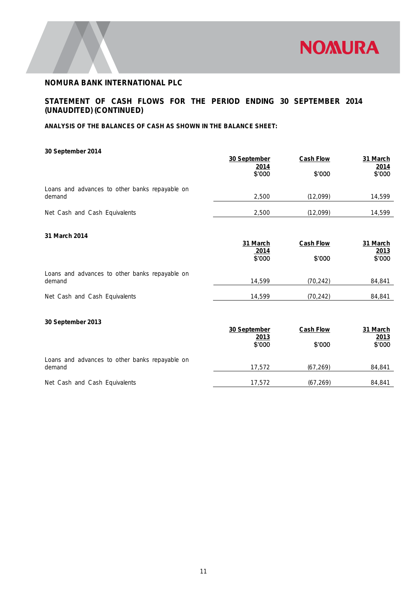

### **STATEMENT OF CASH FLOWS FOR THE PERIOD ENDING 30 SEPTEMBER 2014 (UNAUDITED) (CONTINUED)**

**ANALYSIS OF THE BALANCES OF CASH AS SHOWN IN THE BALANCE SHEET:**

**30 September 2014**

|                                                          | 30 September<br>2014           | <u>Cash Flow</u>    | <u>31 March</u><br>2014    |
|----------------------------------------------------------|--------------------------------|---------------------|----------------------------|
|                                                          | \$'000                         | \$'000              | \$'000                     |
| Loans and advances to other banks repayable on<br>demand | 2,500                          | (12,099)            | 14,599                     |
| Net Cash and Cash Equivalents                            | 2,500                          | (12,099)            | 14,599                     |
| 31 March 2014                                            | 31 March                       | Cash Flow           | 31 March                   |
|                                                          | 2014<br>\$'000                 | \$'000              | 2013<br>\$'000             |
| Loans and advances to other banks repayable on<br>demand | 14,599                         | (70, 242)           | 84,841                     |
| Net Cash and Cash Equivalents                            | 14,599                         | (70, 242)           | 84,841                     |
| 30 September 2013                                        | 30 September<br>2013<br>\$'000 | Cash Flow<br>\$'000 | 31 March<br>2013<br>\$'000 |
| Loans and advances to other banks repayable on<br>demand | 17,572                         | (67, 269)           | 84,841                     |
| Net Cash and Cash Equivalents                            | 17,572                         | (67, 269)           | 84,841                     |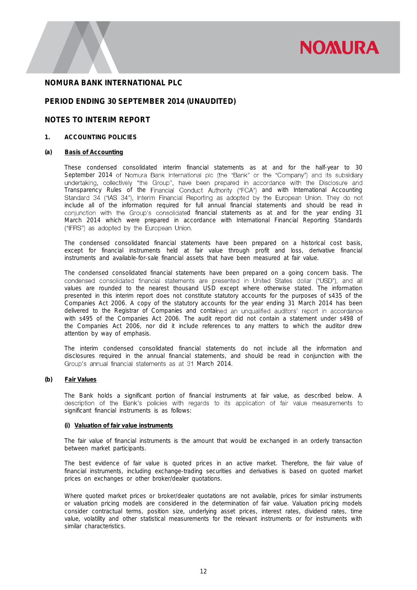

### **PERIOD ENDING 30 SEPTEMBER 2014 (UNAUDITED)**

### **NOTES TO INTERIM REPORT**

#### **1. ACCOUNTING POLICIES**

#### **(a) Basis of Accounting**

These condensed consolidated interim financial statements as at and for the half-year to 30 September 2014 of Nomura Bank International plc (the "Bank" or the "Company") and its subsidiary<br>undertaking, collectively "the Group", have been prepared in accordance with the Disclosure and Transparency Rules of the Financial Conduct Authority ("FCA") and with International Accounting<br>Standard 34 ("IAS 34"), Interim Financial Reporting as adopted by the European Union. They do not include all of the information required for full annual financial statements and should be read in conjunction with the Group's consolidated financial statements as at and for the year ending 31 March 2014 which were prepared in accordance with International Financial Reporting Standards ("IFRS") as adopted by the European Union.

The condensed consolidated financial statements have been prepared on a historical cost basis, except for financial instruments held at fair value through profit and loss, derivative financial instruments and available-for-sale financial assets that have been measured at fair value.

The condensed consolidated financial statements have been prepared on a going concern basis. The condensed consolidated financial statements are presented in United States dollar ("USD"), and all values are rounded to the nearest thousand USD except where otherwise stated. The information presented in this interim report does not constitute statutory accounts for the purposes of s435 of the Companies Act 2006. A copy of the statutory accounts for the year ending 31 March 2014 has been delivered to the Registrar of Companies and contained an unqualified auditors' report in accordance with s495 of the Companies Act 2006. The audit report did not contain a statement under s498 of the Companies Act 2006, nor did it include references to any matters to which the auditor drew attention by way of emphasis.

The interim condensed consolidated financial statements do not include all the information and disclosures required in the annual financial statements, and should be read in conjunction with the Group's annual financial statements as at 31 March 2014.

#### **(b) Fair Values**

The Bank holds a significant portion of financial instruments at fair value, as described below. A description of the Bank's policies with regards to its application of fair value measurements to significant financial instruments is as follows:

#### **(i) Valuation of fair value instruments**

The fair value of financial instruments is the amount that would be exchanged in an orderly transaction between market participants.

The best evidence of fair value is quoted prices in an active market. Therefore, the fair value of financial instruments, including exchange-trading securities and derivatives is based on quoted market prices on exchanges or other broker/dealer quotations.

Where quoted market prices or broker/dealer quotations are not available, prices for similar instruments or valuation pricing models are considered in the determination of fair value. Valuation pricing models consider contractual terms, position size, underlying asset prices, interest rates, dividend rates, time value, volatility and other statistical measurements for the relevant instruments or for instruments with similar characteristics.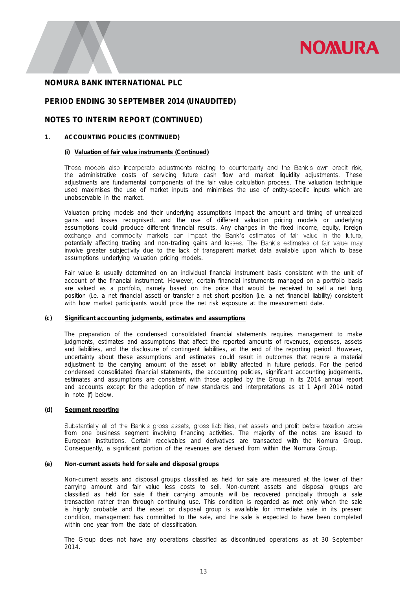

### **PERIOD ENDING 30 SEPTEMBER 2014 (UNAUDITED)**

### **NOTES TO INTERIM REPORT (CONTINUED)**

#### **1. ACCOUNTING POLICIES (CONTINUED)**

#### **(i) Valuation of fair value instruments (Continued)**

These models also incorporate adjustments relating to counterparty and the Bank's own credit risk, the administrative costs of servicing future cash flow and market liquidity adjustments. These adjustments are fundamental components of the fair value calculation process. The valuation technique used maximises the use of market inputs and minimises the use of entity-specific inputs which are unobservable in the market.

Valuation pricing models and their underlying assumptions impact the amount and timing of unrealized gains and losses recognised, and the use of different valuation pricing models or underlying assumptions could produce different financial results. Any changes in the fixed income, equity, foreign<br>exchange and commodity markets can impact the Bank's estimates of fair value in the future, potentially affecting trading and non-trading gains and losses. The Bank's estimates of fair value may involve greater subjectivity due to the lack of transparent market data available upon which to base assumptions underlying valuation pricing models.

Fair value is usually determined on an individual financial instrument basis consistent with the unit of account of the financial instrument. However, certain financial instruments managed on a portfolio basis are valued as a portfolio, namely based on the price that would be received to sell a net long position (i.e. a net financial asset) or transfer a net short position (i.e. a net financial liability) consistent with how market participants would price the net risk exposure at the measurement date.

#### **(c) Significant accounting judgments, estimates and assumptions**

The preparation of the condensed consolidated financial statements requires management to make judgments, estimates and assumptions that affect the reported amounts of revenues, expenses, assets and liabilities, and the disclosure of contingent liabilities, at the end of the reporting period. However, uncertainty about these assumptions and estimates could result in outcomes that require a material adjustment to the carrying amount of the asset or liability affected in future periods. For the period condensed consolidated financial statements, the accounting policies, significant accounting judgements, estimates and assumptions are consistent with those applied by the Group in its 2014 annual report and accounts except for the adoption of new standards and interpretations as at 1 April 2014 noted in note (f) below.

#### **(d) Segment reporting**

Substantially all of the Bank's gross assets, gross liabilities, net assets and profit before taxation arose from one business segment involving financing activities. The majority of the notes are issued to European institutions. Certain receivables and derivatives are transacted with the Nomura Group. Consequently, a significant portion of the revenues are derived from within the Nomura Group.

#### **(e) Non-current assets held for sale and disposal groups**

Non-current assets and disposal groups classified as held for sale are measured at the lower of their carrying amount and fair value less costs to sell. Non-current assets and disposal groups are classified as held for sale if their carrying amounts will be recovered principally through a sale transaction rather than through continuing use. This condition is regarded as met only when the sale is highly probable and the asset or disposal group is available for immediate sale in its present condition, management has committed to the sale, and the sale is expected to have been completed within one year from the date of classification.

The Group does not have any operations classified as discontinued operations as at 30 September 2014.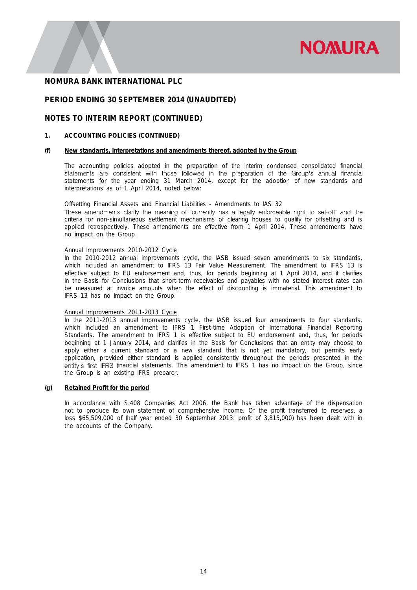

### **PERIOD ENDING 30 SEPTEMBER 2014 (UNAUDITED)**

### **NOTES TO INTERIM REPORT (CONTINUED)**

#### **1. ACCOUNTING POLICIES (CONTINUED)**

#### **(f) New standards, interpretations and amendments thereof, adopted by the Group**

The accounting policies adopted in the preparation of the interim condensed consolidated financial statements are consistent with those followed in the preparation of the Group's annual financial statements for the year ending 31 March 2014, except for the adoption of new standards and interpretations as of 1 April 2014, noted below:

#### Offsetting Financial Assets and Financial Liabilities - Amendments to IAS 32

These amendments clarify the meaning of 'currently has a legally enforceable right to set-off' and the criteria for non-simultaneous settlement mechanisms of clearing houses to qualify for offsetting and is applied retrospectively. These amendments are effective from 1 April 2014. These amendments have no impact on the Group.

#### Annual Improvements 2010-2012 Cycle

In the 2010-2012 annual improvements cycle, the IASB issued seven amendments to six standards, which included an amendment to IFRS 13 Fair Value Measurement. The amendment to IFRS 13 is effective subject to EU endorsement and, thus, for periods beginning at 1 April 2014, and it clarifies in the Basis for Conclusions that short-term receivables and payables with no stated interest rates can be measured at invoice amounts when the effect of discounting is immaterial. This amendment to IFRS 13 has no impact on the Group.

#### Annual Improvements 2011-2013 Cycle

In the 2011-2013 annual improvements cycle, the IASB issued four amendments to four standards, which included an amendment to IFRS 1 First-time Adoption of International Financial Reporting Standards. The amendment to IFRS 1 is effective subject to EU endorsement and, thus, for periods beginning at 1 January 2014, and clarifies in the Basis for Conclusions that an entity may choose to apply either a current standard or a new standard that is not yet mandatory, but permits early application, provided either standard is applied consistently throughout the periods presented in the entity's first IFRS financial statements. This amendment to IFRS 1 has no impact on the Group, since the Group is an existing IFRS preparer.

#### **(g) Retained Profit for the period**

In accordance with S.408 Companies Act 2006, the Bank has taken advantage of the dispensation not to produce its own statement of comprehensive income. Of the profit transferred to reserves, a loss \$65,509,000 of (half year ended 30 September 2013: profit of 3,815,000) has been dealt with in the accounts of the Company.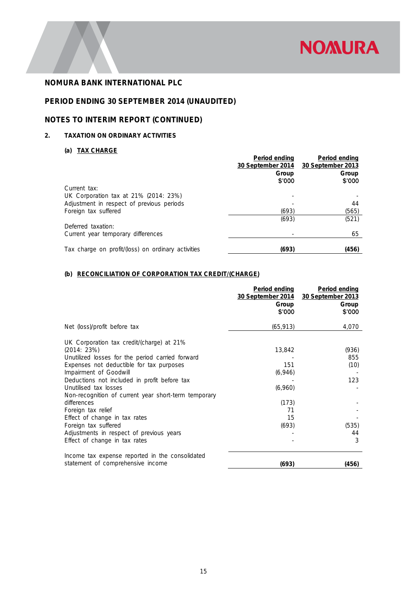

### **PERIOD ENDING 30 SEPTEMBER 2014 (UNAUDITED)**

### **NOTES TO INTERIM REPORT (CONTINUED)**

### **2. TAXATION ON ORDINARY ACTIVITIES**

**(a) TAX CHARGE**

|                                                    | Period ending     | Period ending     |
|----------------------------------------------------|-------------------|-------------------|
|                                                    | 30 September 2014 | 30 September 2013 |
|                                                    | Group             | Group             |
|                                                    | \$'000            | \$'000            |
| Current tax:                                       |                   |                   |
| UK Corporation tax at 21% (2014: 23%)              |                   |                   |
| Adjustment in respect of previous periods          |                   | 44                |
| Foreign tax suffered                               | (693)             | (565)             |
|                                                    | (693)             | (521)             |
| Deferred taxation:                                 |                   |                   |
| Current year temporary differences                 |                   | 65                |
|                                                    |                   |                   |
| Tax charge on profit/(loss) on ordinary activities | (693)             | (456)             |

### **(b) RECONCILIATION OF CORPORATION TAX CREDIT/(CHARGE)**

|                                                                                                                                                                                                                                                                                                                                                                                                                                                                                                | Period ending<br>30 September 2014<br>Group<br>\$'000             | Period ending<br>30 September 2013<br>Group<br>\$'000 |
|------------------------------------------------------------------------------------------------------------------------------------------------------------------------------------------------------------------------------------------------------------------------------------------------------------------------------------------------------------------------------------------------------------------------------------------------------------------------------------------------|-------------------------------------------------------------------|-------------------------------------------------------|
| Net (loss)/profit before tax                                                                                                                                                                                                                                                                                                                                                                                                                                                                   | (65, 913)                                                         | 4,070                                                 |
| UK Corporation tax credit/(charge) at 21%<br>(2014: 23%)<br>Unutilized losses for the period carried forward<br>Expenses not deductible for tax purposes<br>Impairment of Goodwill<br>Deductions not included in profit before tax<br>Unutilised tax losses<br>Non-recognition of current year short-term temporary<br>differences<br>Foreign tax relief<br>Effect of change in tax rates<br>Foreign tax suffered<br>Adjustments in respect of previous years<br>Effect of change in tax rates | 13,842<br>151<br>(6,946)<br>(6,960)<br>(173)<br>71<br>15<br>(693) | (936)<br>855<br>(10)<br>123<br>(535)<br>44<br>3       |
| Income tax expense reported in the consolidated<br>statement of comprehensive income                                                                                                                                                                                                                                                                                                                                                                                                           | (693)                                                             | (456)                                                 |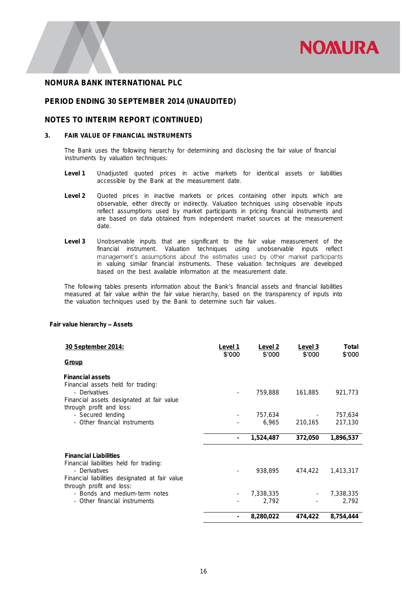

### **PERIOD ENDING 30 SEPTEMBER 2014 (UNAUDITED)**

### **NOTES TO INTERIM REPORT (CONTINUED)**

#### **3. FAIR VALUE OF FINANCIAL INSTRUMENTS**

The Bank uses the following hierarchy for determining and disclosing the fair value of financial instruments by valuation techniques:

- **Level 1** Unadjusted quoted prices in active markets for identical assets or liabilities accessible by the Bank at the measurement date.
- **Level 2** Quoted prices in inactive markets or prices containing other inputs which are observable, either directly or indirectly. Valuation techniques using observable inputs reflect assumptions used by market participants in pricing financial instruments and are based on data obtained from independent market sources at the measurement date.
- **Level 3** Unobservable inputs that are significant to the fair value measurement of the financial instrument. Valuation techniques using unobservable inputs reflect management's assumptions about the estimates used by other market participants in valuing similar financial instruments. These valuation techniques are developed based on the best available information at the measurement date.

The following tables presents information about the Bank's financial assets and financial liabilities measured at fair value within the fair value hierarchy, based on the transparency of inputs into the valuation techniques used by the Bank to determine such fair values.

Fair value hierarchy - Assets

| 30 September 2014:                             | evel 1<br>\$'000 | evel 2<br>\$'000 | evel 3.<br>\$'000 | Total<br>\$'000 |
|------------------------------------------------|------------------|------------------|-------------------|-----------------|
| <u>Group</u>                                   |                  |                  |                   |                 |
| <b>Financial assets</b>                        |                  |                  |                   |                 |
| Financial assets held for trading:             |                  |                  |                   |                 |
| - Derivatives                                  |                  | 759,888          | 161,885           | 921,773         |
| Financial assets designated at fair value      |                  |                  |                   |                 |
| through profit and loss:                       |                  |                  |                   |                 |
| - Secured lending                              |                  | 757,634          |                   | 757,634         |
| - Other financial instruments                  |                  | 6,965            | 210,165           | 217,130         |
|                                                |                  | 1,524,487        | 372,050           | 1,896,537       |
|                                                |                  |                  |                   |                 |
| <b>Financial Liabilities</b>                   |                  |                  |                   |                 |
| Financial liabilities held for trading:        |                  |                  |                   |                 |
| - Derivatives                                  |                  | 938,895          | 474,422           | 1,413,317       |
| Financial liabilities designated at fair value |                  |                  |                   |                 |
| through profit and loss:                       |                  |                  |                   |                 |
| - Bonds and medium-term notes                  |                  | 7,338,335        |                   | 7,338,335       |
| - Other financial instruments                  |                  | 2,792            |                   | 2,792           |
|                                                |                  |                  |                   |                 |
|                                                |                  | 8,280,022        | 474,422           | 8,754,444       |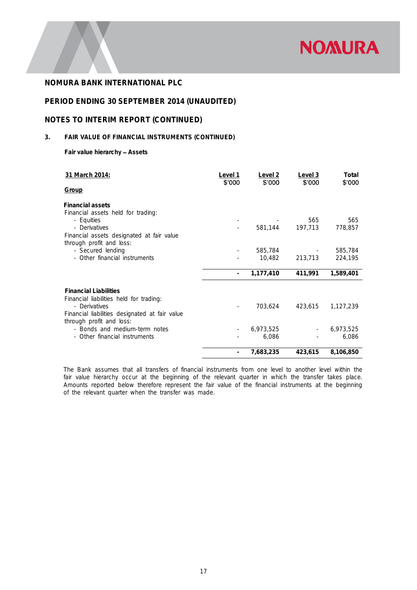

### **PERIOD ENDING 30 SEPTEMBER 2014 (UNAUDITED)**

### **NOTES TO INTERIM REPORT (CONTINUED)**

### **3. FAIR VALUE OF FINANCIAL INSTRUMENTS (CONTINUED)**

Fair value hierarchy - Assets

| 31 March 2014:                                           | evel 1<br>\$'000 | _evel 2<br>\$'000 | _evel 3<br>\$'000 | Total<br>\$'000 |
|----------------------------------------------------------|------------------|-------------------|-------------------|-----------------|
| <u>Group</u>                                             |                  |                   |                   |                 |
| <b>Financial assets</b>                                  |                  |                   |                   |                 |
| Financial assets held for trading:                       |                  |                   |                   |                 |
| - Equities                                               |                  |                   | 565               | 565             |
| - Derivatives                                            |                  | 581,144           | 197,713           | 778,857         |
| Financial assets designated at fair value                |                  |                   |                   |                 |
| through profit and loss:                                 |                  |                   |                   |                 |
| - Secured lending                                        |                  | 585,784           |                   | 585,784         |
| - Other financial instruments                            |                  | 10,482            | 213,713           | 224,195         |
|                                                          |                  |                   |                   |                 |
|                                                          |                  | 1,177,410         | 411,991           | 1,589,401       |
|                                                          |                  |                   |                   |                 |
| <b>Financial Liabilities</b>                             |                  |                   |                   |                 |
| Financial liabilities held for trading:<br>- Derivatives |                  | 703,624           | 423,615           |                 |
| Financial liabilities designated at fair value           |                  |                   |                   | 1,127,239       |
| through profit and loss:                                 |                  |                   |                   |                 |
| - Bonds and medium-term notes                            |                  | 6,973,525         |                   | 6,973,525       |
| - Other financial instruments                            |                  | 6,086             |                   | 6,086           |
|                                                          |                  |                   |                   |                 |
|                                                          |                  | 7,683,235         | 423,615           | 8,106,850       |

The Bank assumes that all transfers of financial instruments from one level to another level within the fair value hierarchy occur at the beginning of the relevant quarter in which the transfer takes place. Amounts reported below therefore represent the fair value of the financial instruments at the beginning of the relevant quarter when the transfer was made.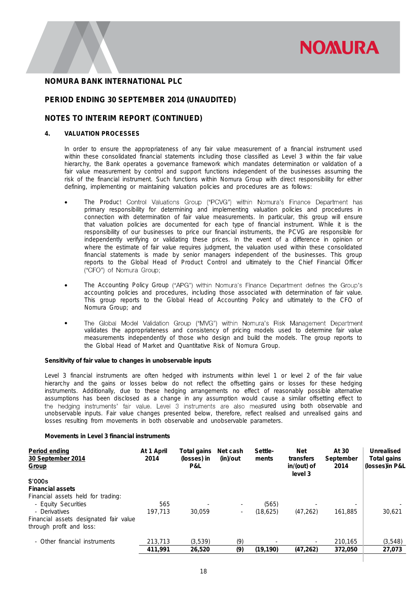

### **PERIOD ENDING 30 SEPTEMBER 2014 (UNAUDITED)**

### **NOTES TO INTERIM REPORT (CONTINUED)**

#### **4. VALUATION PROCESSES**

In order to ensure the appropriateness of any fair value measurement of a financial instrument used within these consolidated financial statements including those classified as Level 3 within the fair value hierarchy, the Bank operates a governance framework which mandates determination or validation of a fair value measurement by control and support functions independent of the businesses assuming the risk of the financial instrument. Such functions within Nomura Group with direct responsibility for either defining, implementing or maintaining valuation policies and procedures are as follows:

- The Product Control Valuations Group ("PCVG") within Nomura's Finance Department has primary responsibility for determining and implementing valuation policies and procedures in connection with determination of fair value measurements. In particular, this group will ensure that valuation policies are documented for each type of financial instrument. While it is the responsibility of our businesses to price our financial instruments, the PCVG are responsible for independently verifying or validating these prices. In the event of a difference in opinion or where the estimate of fair value requires judgment, the valuation used within these consolidated financial statements is made by senior managers independent of the businesses. This group reports to the Global Head of Product Control and ultimately to the Chief Financial Officer ("CFO") of Nomura Group;
- The Accounting Policy Group ("APG") within Nomura's Finance Department defines the Group's accounting policies and procedures, including those associated with determination of fair value. This group reports to the Global Head of Accounting Policy and ultimately to the CFO of Nomura Group; and
- The Global Model Validation Group ("MVG") within Nomura's Risk Management Department  $\bullet$ validates the appropriateness and consistency of pricing models used to determine fair value measurements independently of those who design and build the models. The group reports to the Global Head of Market and Quantitative Risk of Nomura Group.

#### *Sensitivity of fair value to changes in unobservable inputs*

Level 3 financial instruments are often hedged with instruments within level 1 or level 2 of the fair value hierarchy and the gains or losses below do not reflect the offsetting gains or losses for these hedging instruments. Additionally, due to these hedging arrangements no effect of reasonably possible alternative assumptions has been disclosed as a change in any assumption would cause a similar offsetting effect to the hedging instruments' fair value. Level 3 instruments are also measured using both observable and unobservable inputs. Fair value changes presented below, therefore, reflect realised and unrealised gains and losses resulting from movements in both observable and unobservable parameters.

#### *Movements in Level 3 financial instruments*

| Period ending                          | At 1 April | Total gains | Net cash | Settle-   | <b>Net</b>                | At $30$   | Unrealised      |
|----------------------------------------|------------|-------------|----------|-----------|---------------------------|-----------|-----------------|
| 30 September 2014                      | 2014       | (losses) in | (in)/out | ments     | transfers                 | September | Total gains     |
| Group                                  |            | P&L         |          |           | $in/$ (out) of<br>level 3 | 2014      | (losses) in P&L |
| \$'000s                                |            |             |          |           |                           |           |                 |
| Financial assets                       |            |             |          |           |                           |           |                 |
| Financial assets held for trading:     |            |             |          |           |                           |           |                 |
| - Equity Securities                    | 565        |             | $\sim$   | (565)     |                           |           |                 |
| - Derivatives                          | 197.713    | 30.059      | $\sim$   | (18,625)  | (47, 262)                 | 161.885   | 30,621          |
| Financial assets designated fair value |            |             |          |           |                           |           |                 |
| through profit and loss:               |            |             |          |           |                           |           |                 |
| - Other financial instruments          | 213,713    | (3,539)     | (9)      |           |                           | 210,165   | (3,548)         |
|                                        | 411.991    | 26.520      | (9)      | (19, 190) | (47, 262)                 | 372,050   | 27,073          |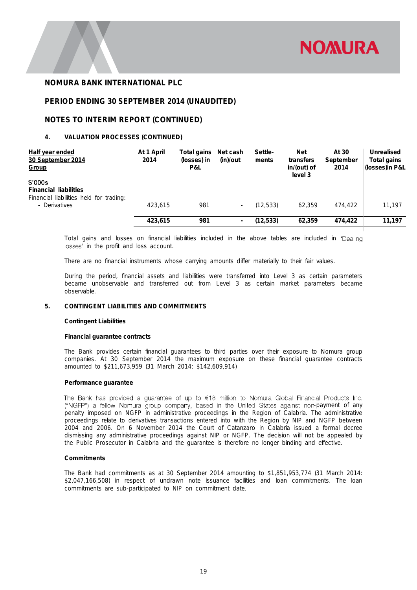

### **PERIOD ENDING 30 SEPTEMBER 2014 (UNAUDITED)**

### **NOTES TO INTERIM REPORT (CONTINUED)**

#### **4. VALUATION PROCESSES (CONTINUED)**

| Half year ended<br>30 September 2014<br>Group                                                | At 1 April<br>2014 | Total gains<br>(losses) in<br>P&L | Net cash<br>(in)/out     | Settle-<br>ments | Net<br>transfers<br>$in/(out)$ of<br>level 3 | At $30$<br>September<br>2014 | Unrealised<br>Total gains<br>(losses) in P&L |
|----------------------------------------------------------------------------------------------|--------------------|-----------------------------------|--------------------------|------------------|----------------------------------------------|------------------------------|----------------------------------------------|
| \$'000s<br>Financial liabilities<br>Financial liabilities held for trading:<br>- Derivatives | 423.615            | 981                               | ٠                        | (12, 533)        | 62.359                                       | 474.422                      | 11.197                                       |
|                                                                                              |                    |                                   |                          |                  |                                              |                              |                                              |
|                                                                                              | 423.615            | 981                               | $\overline{\phantom{a}}$ | (12, 533)        | 62.359                                       | 474.422                      | 11.197                                       |

Total gains and losses on financial liabilities included in the above tables are included in 'Dealing losses' in the profit and loss account.

There are no financial instruments whose carrying amounts differ materially to their fair values.

During the period, financial assets and liabilities were transferred into Level 3 as certain parameters became unobservable and transferred out from Level 3 as certain market parameters became observable.

### **5. CONTINGENT LIABILITIES AND COMMITMENTS**

#### **Contingent Liabilities**

#### **Financial guarantee contracts**

The Bank provides certain financial guarantees to third parties over their exposure to Nomura group companies. At 30 September 2014 the maximum exposure on these financial guarantee contracts amounted to \$211,673,959 (31 March 2014: \$142,609,914)

#### **Performance guarantee**

The Bank has provided a guarantee of up to €18 million to Nomura Global Financial Products Inc. ("NGFP") a fellow Nomura group company, based in the United States against non-payment of any penalty imposed on NGFP in administrative proceedings in the Region of Calabria. The administrative proceedings relate to derivatives transactions entered into with the Region by NIP and NGFP between 2004 and 2006. On 6 November 2014 the Court of Catanzaro in Calabria issued a formal decree dismissing any administrative proceedings against NIP or NGFP. The decision will not be appealed by the Public Prosecutor in Calabria and the guarantee is therefore no longer binding and effective.

#### **Commitments**

The Bank had commitments as at 30 September 2014 amounting to \$1,851,953,774 (31 March 2014: \$2,047,166,508) in respect of undrawn note issuance facilities and loan commitments. The loan commitments are sub-participated to NIP on commitment date.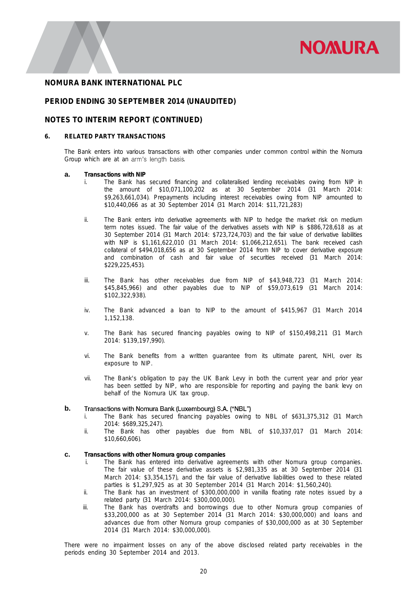

### **PERIOD ENDING 30 SEPTEMBER 2014 (UNAUDITED)**

### **NOTES TO INTERIM REPORT (CONTINUED)**

#### **6. RELATED PARTY TRANSACTIONS**

The Bank enters into various transactions with other companies under common control within the Nomura Group which are at an arm's length basis.

- **a. Transactions with NIP**
	- i. The Bank has secured financing and collateralised lending receivables owing from NIP in the amount of \$10,071,100,202 as at 30 September 2014 (31 March 2014: \$9,263,661,034). Prepayments including interest receivables owing from NIP amounted to \$10,440,066 as at 30 September 2014 (31 March 2014: \$11,721,283)
	- ii. The Bank enters into derivative agreements with NIP to hedge the market risk on medium term notes issued. The fair value of the derivatives assets with NIP is \$886,728,618 as at 30 September 2014 (31 March 2014: \$723,724,703) and the fair value of derivative liabilities with NIP is \$1,161,622,010 (31 March 2014: \$1,066,212,651). The bank received cash collateral of \$494,018,656 as at 30 September 2014 from NIP to cover derivative exposure and combination of cash and fair value of securities received (31 March 2014: \$229,225,453).
	- iii. The Bank has other receivables due from NIP of \$43,948,723 (31 March 2014: \$45,845,966) and other payables due to NIP of \$59,073,619 (31 March 2014: \$102,322,938).
	- iv. The Bank advanced a loan to NIP to the amount of \$415,967 (31 March 2014 1,152,138.
	- v. The Bank has secured financing payables owing to NIP of \$150,498,211 (31 March 2014: \$139,197,990).
	- vi. The Bank benefits from a written guarantee from its ultimate parent, NHI, over its exposure to NIP.
	- vii. The Bank's obligation to pay the UK Bank Levy in both the current year and prior year has been settled by NIP, who are responsible for reporting and paying the bank levy on behalf of the Nomura UK tax group.

#### **b.** Transactions with Nomura Bank (Luxembourg) S.A. ("NBL")

- The Bank has secured financing payables owing to NBL of \$631,375,312 (31 March 2014: \$689,325,247).
- ii. The Bank has other payables due from NBL of \$10,337,017 (31 March 2014: \$10,660,606).
- **c. Transactions with other Nomura group companies** 
	- The Bank has entered into derivative agreements with other Nomura group companies. The fair value of these derivative assets is \$2,981,335 as at 30 September 2014 (31 March 2014: \$3,354,157), and the fair value of derivative liabilities owed to these related parties is \$1,297,925 as at 30 September 2014 (31 March 2014: \$1,560,240).
	- ii. The Bank has an investment of \$300,000,000 in vanilla floating rate notes issued by a related party (31 March 2014: \$300,000,000).
	- iii. The Bank has overdrafts and borrowings due to other Nomura group companies of \$33,200,000 as at 30 September 2014 (31 March 2014: \$30,000,000) and loans and advances due from other Nomura group companies of \$30,000,000 as at 30 September 2014 (31 March 2014: \$30,000,000).

There were no impairment losses on any of the above disclosed related party receivables in the periods ending 30 September 2014 and 2013.